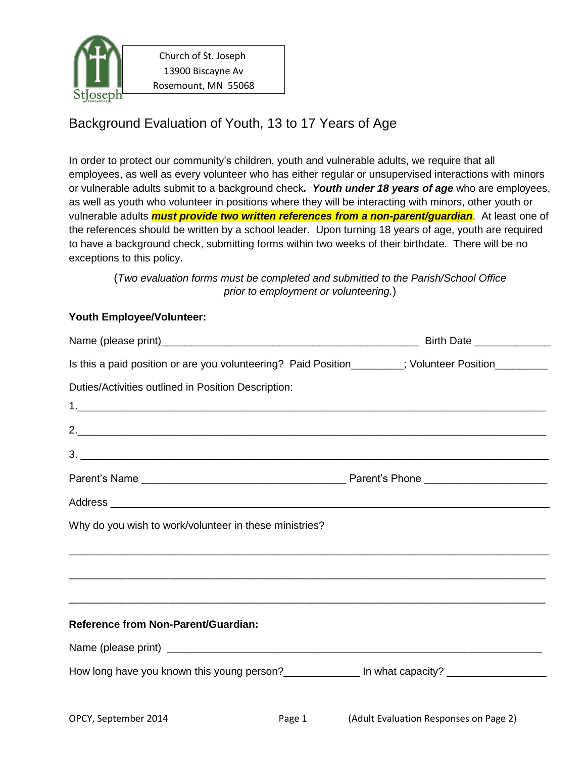

 Church of St. Joseph 13900 Biscayne Av Rosemount, MN 55068

## Background Evaluation of Youth, 13 to 17 Years of Age

In order to protect our community's children, youth and vulnerable adults, we require that all employees, as well as every volunteer who has either regular or unsupervised interactions with minors or vulnerable adults submit to a background check*. Youth under 18 years of age* who are employees, as well as youth who volunteer in positions where they will be interacting with minors, other youth or vulnerable adults *must provide two written references from a non-parent/guardian*. At least one of the references should be written by a school leader. Upon turning 18 years of age, youth are required to have a background check, submitting forms within two weeks of their birthdate. There will be no exceptions to this policy.

(*Two evaluation forms must be completed and submitted to the Parish/School Office prior to employment or volunteering.*)

## **Youth Employee/Volunteer:**

| Is this a paid position or are you volunteering? Paid Position_______; Volunteer Position________   |  |
|-----------------------------------------------------------------------------------------------------|--|
| Duties/Activities outlined in Position Description:                                                 |  |
|                                                                                                     |  |
|                                                                                                     |  |
|                                                                                                     |  |
|                                                                                                     |  |
|                                                                                                     |  |
| Why do you wish to work/volunteer in these ministries?                                              |  |
|                                                                                                     |  |
|                                                                                                     |  |
| <b>Reference from Non-Parent/Guardian:</b>                                                          |  |
|                                                                                                     |  |
| How long have you known this young person?_________________ In what capacity? _____________________ |  |